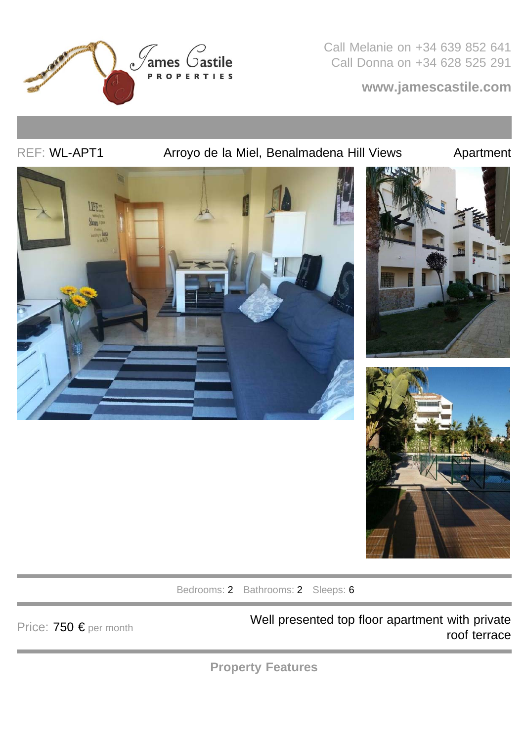

Call Melanie on +34 639 852 641 Call Donna on +34 628 525 291

**www.jamescastile.com**

REF: WL-APT1 **Arroyo de la Miel, Benalmadena Hill Views** Apartment







Bedrooms: 2 Bathrooms: 2 Sleeps: 6

Price: 750 € per month Well presented top floor apartment with private roof terrace

**Property Features**